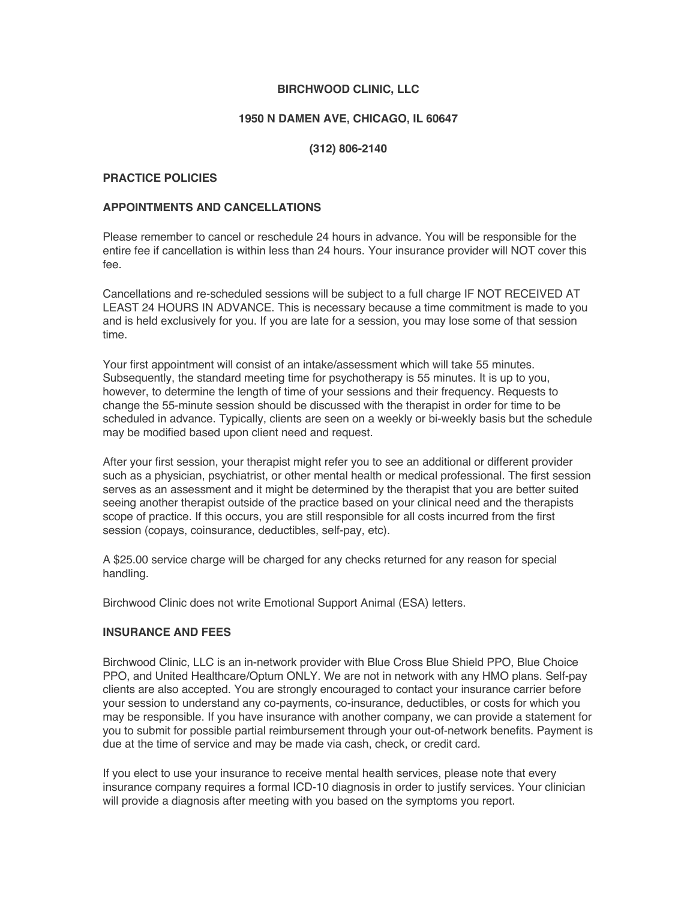## **BIRCHWOOD CLINIC, LLC**

## **1950 N DAMEN AVE, CHICAGO, IL 60647**

## **(312) 806-2140**

#### **PRACTICE POLICIES**

### **APPOINTMENTS AND CANCELLATIONS**

Please remember to cancel or reschedule 24 hours in advance. You will be responsible for the entire fee if cancellation is within less than 24 hours. Your insurance provider will NOT cover this fee.

Cancellations and re-scheduled sessions will be subject to a full charge IF NOT RECEIVED AT LEAST 24 HOURS IN ADVANCE. This is necessary because a time commitment is made to you and is held exclusively for you. If you are late for a session, you may lose some of that session time.

Your first appointment will consist of an intake/assessment which will take 55 minutes. Subsequently, the standard meeting time for psychotherapy is 55 minutes. It is up to you, however, to determine the length of time of your sessions and their frequency. Requests to change the 55-minute session should be discussed with the therapist in order for time to be scheduled in advance. Typically, clients are seen on a weekly or bi-weekly basis but the schedule may be modified based upon client need and request.

After your first session, your therapist might refer you to see an additional or different provider such as a physician, psychiatrist, or other mental health or medical professional. The first session serves as an assessment and it might be determined by the therapist that you are better suited seeing another therapist outside of the practice based on your clinical need and the therapists scope of practice. If this occurs, you are still responsible for all costs incurred from the first session (copays, coinsurance, deductibles, self-pay, etc).

A \$25.00 service charge will be charged for any checks returned for any reason for special handling.

Birchwood Clinic does not write Emotional Support Animal (ESA) letters.

#### **INSURANCE AND FEES**

Birchwood Clinic, LLC is an in-network provider with Blue Cross Blue Shield PPO, Blue Choice PPO, and United Healthcare/Optum ONLY. We are not in network with any HMO plans. Self-pay clients are also accepted. You are strongly encouraged to contact your insurance carrier before your session to understand any co-payments, co-insurance, deductibles, or costs for which you may be responsible. If you have insurance with another company, we can provide a statement for you to submit for possible partial reimbursement through your out-of-network benefits. Payment is due at the time of service and may be made via cash, check, or credit card.

If you elect to use your insurance to receive mental health services, please note that every insurance company requires a formal ICD-10 diagnosis in order to justify services. Your clinician will provide a diagnosis after meeting with you based on the symptoms you report.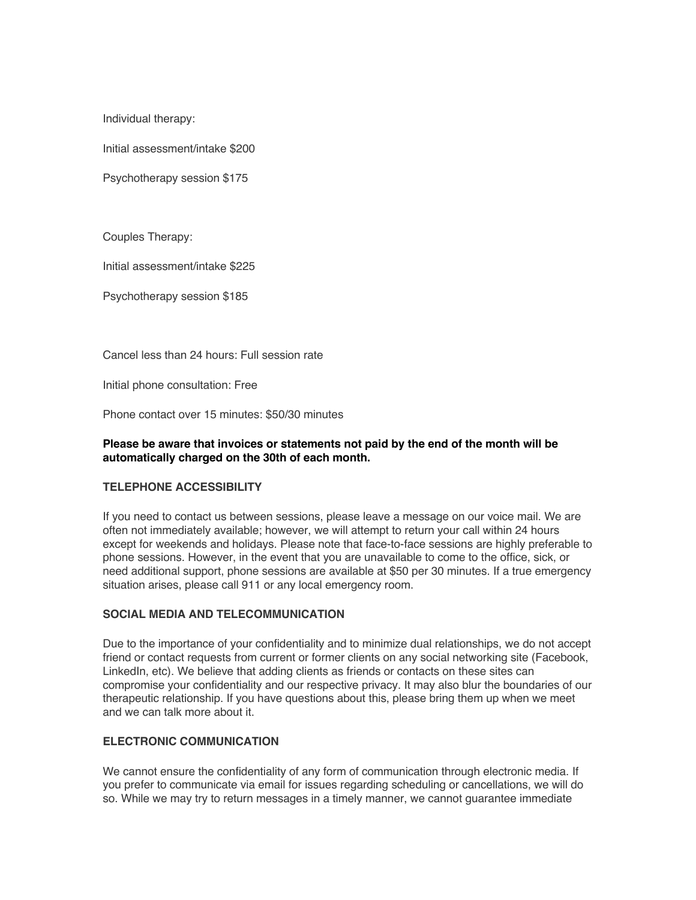Individual therapy:

Initial assessment/intake \$200

Psychotherapy session \$175

Couples Therapy:

Initial assessment/intake \$225

Psychotherapy session \$185

Cancel less than 24 hours: Full session rate

Initial phone consultation: Free

Phone contact over 15 minutes: \$50/30 minutes

#### **Please be aware that invoices or statements not paid by the end of the month will be automatically charged on the 30th of each month.**

#### **TELEPHONE ACCESSIBILITY**

If you need to contact us between sessions, please leave a message on our voice mail. We are often not immediately available; however, we will attempt to return your call within 24 hours except for weekends and holidays. Please note that face-to-face sessions are highly preferable to phone sessions. However, in the event that you are unavailable to come to the office, sick, or need additional support, phone sessions are available at \$50 per 30 minutes. If a true emergency situation arises, please call 911 or any local emergency room.

## **SOCIAL MEDIA AND TELECOMMUNICATION**

Due to the importance of your confidentiality and to minimize dual relationships, we do not accept friend or contact requests from current or former clients on any social networking site (Facebook, LinkedIn, etc). We believe that adding clients as friends or contacts on these sites can compromise your confidentiality and our respective privacy. It may also blur the boundaries of our therapeutic relationship. If you have questions about this, please bring them up when we meet and we can talk more about it.

#### **ELECTRONIC COMMUNICATION**

We cannot ensure the confidentiality of any form of communication through electronic media. If you prefer to communicate via email for issues regarding scheduling or cancellations, we will do so. While we may try to return messages in a timely manner, we cannot guarantee immediate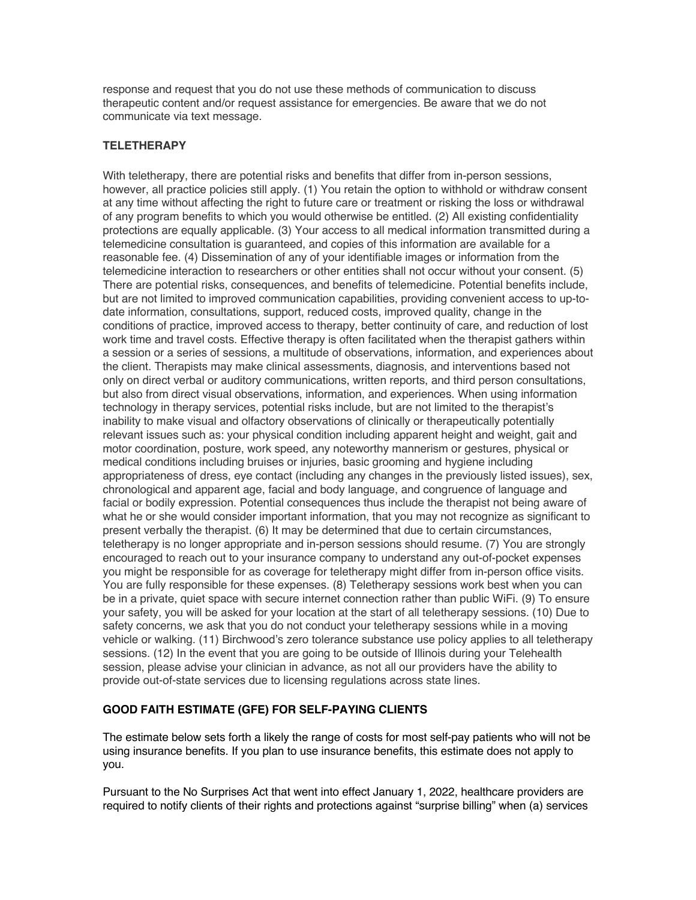response and request that you do not use these methods of communication to discuss therapeutic content and/or request assistance for emergencies. Be aware that we do not communicate via text message.

# **TELETHERAPY**

With teletherapy, there are potential risks and benefits that differ from in-person sessions, however, all practice policies still apply. (1) You retain the option to withhold or withdraw consent at any time without affecting the right to future care or treatment or risking the loss or withdrawal of any program benefits to which you would otherwise be entitled. (2) All existing confidentiality protections are equally applicable. (3) Your access to all medical information transmitted during a telemedicine consultation is guaranteed, and copies of this information are available for a reasonable fee. (4) Dissemination of any of your identifiable images or information from the telemedicine interaction to researchers or other entities shall not occur without your consent. (5) There are potential risks, consequences, and benefits of telemedicine. Potential benefits include, but are not limited to improved communication capabilities, providing convenient access to up-todate information, consultations, support, reduced costs, improved quality, change in the conditions of practice, improved access to therapy, better continuity of care, and reduction of lost work time and travel costs. Effective therapy is often facilitated when the therapist gathers within a session or a series of sessions, a multitude of observations, information, and experiences about the client. Therapists may make clinical assessments, diagnosis, and interventions based not only on direct verbal or auditory communications, written reports, and third person consultations, but also from direct visual observations, information, and experiences. When using information technology in therapy services, potential risks include, but are not limited to the therapist's inability to make visual and olfactory observations of clinically or therapeutically potentially relevant issues such as: your physical condition including apparent height and weight, gait and motor coordination, posture, work speed, any noteworthy mannerism or gestures, physical or medical conditions including bruises or injuries, basic grooming and hygiene including appropriateness of dress, eye contact (including any changes in the previously listed issues), sex, chronological and apparent age, facial and body language, and congruence of language and facial or bodily expression. Potential consequences thus include the therapist not being aware of what he or she would consider important information, that you may not recognize as significant to present verbally the therapist. (6) It may be determined that due to certain circumstances, teletherapy is no longer appropriate and in-person sessions should resume. (7) You are strongly encouraged to reach out to your insurance company to understand any out-of-pocket expenses you might be responsible for as coverage for teletherapy might differ from in-person office visits. You are fully responsible for these expenses. (8) Teletherapy sessions work best when you can be in a private, quiet space with secure internet connection rather than public WiFi. (9) To ensure your safety, you will be asked for your location at the start of all teletherapy sessions. (10) Due to safety concerns, we ask that you do not conduct your teletherapy sessions while in a moving vehicle or walking. (11) Birchwood's zero tolerance substance use policy applies to all teletherapy sessions. (12) In the event that you are going to be outside of Illinois during your Telehealth session, please advise your clinician in advance, as not all our providers have the ability to provide out-of-state services due to licensing regulations across state lines.

#### **GOOD FAITH ESTIMATE (GFE) FOR SELF-PAYING CLIENTS**

The estimate below sets forth a likely the range of costs for most self-pay patients who will not be using insurance benefits. If you plan to use insurance benefits, this estimate does not apply to you.

Pursuant to the No Surprises Act that went into effect January 1, 2022, healthcare providers are required to notify clients of their rights and protections against "surprise billing" when (a) services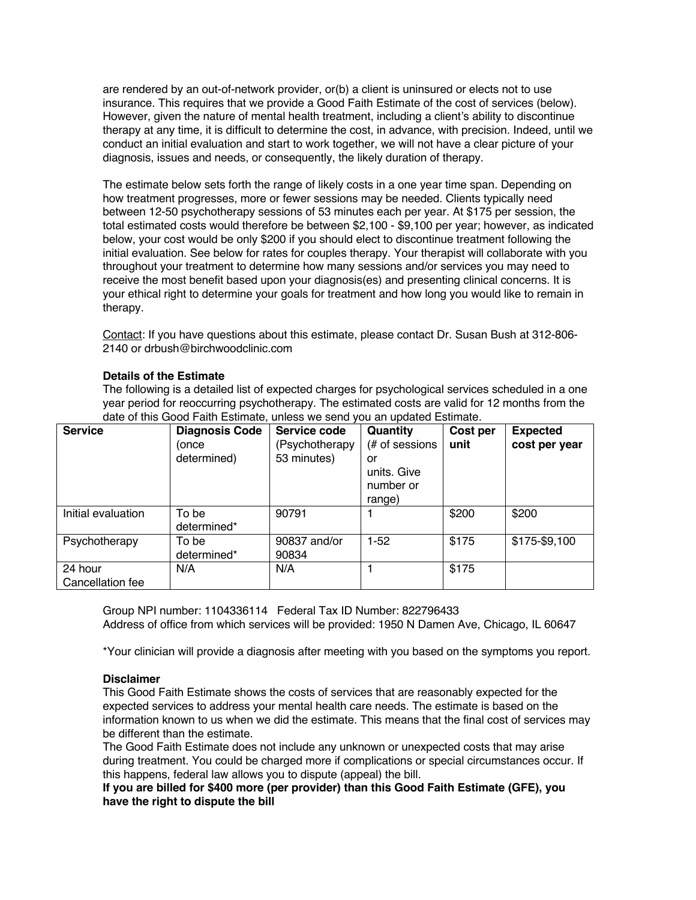are rendered by an out-of-network provider, or(b) a client is uninsured or elects not to use insurance. This requires that we provide a Good Faith Estimate of the cost of services (below). However, given the nature of mental health treatment, including a client's ability to discontinue therapy at any time, it is difficult to determine the cost, in advance, with precision. Indeed, until we conduct an initial evaluation and start to work together, we will not have a clear picture of your diagnosis, issues and needs, or consequently, the likely duration of therapy.

The estimate below sets forth the range of likely costs in a one year time span. Depending on how treatment progresses, more or fewer sessions may be needed. Clients typically need between 12-50 psychotherapy sessions of 53 minutes each per year. At \$175 per session, the total estimated costs would therefore be between \$2,100 - \$9,100 per year; however, as indicated below, your cost would be only \$200 if you should elect to discontinue treatment following the initial evaluation. See below for rates for couples therapy. Your therapist will collaborate with you throughout your treatment to determine how many sessions and/or services you may need to receive the most benefit based upon your diagnosis(es) and presenting clinical concerns. It is your ethical right to determine your goals for treatment and how long you would like to remain in therapy.

Contact: If you have questions about this estimate, please contact Dr. Susan Bush at 312-806- 2140 or drbush@birchwoodclinic.com

# **Details of the Estimate**

The following is a detailed list of expected charges for psychological services scheduled in a one year period for reoccurring psychotherapy. The estimated costs are valid for 12 months from the date of this Good Faith Estimate, unless we send you an updated Estimate.

| <b>Service</b>              | <b>Diagnosis Code</b><br>(once<br>determined) | Service code<br>(Psychotherapy<br>53 minutes) | Quantity<br>(# of sessions<br>or<br>units. Give<br>number or<br>range) | Cost per<br>unit | <b>Expected</b><br>cost per year |
|-----------------------------|-----------------------------------------------|-----------------------------------------------|------------------------------------------------------------------------|------------------|----------------------------------|
| Initial evaluation          | To be<br>determined*                          | 90791                                         |                                                                        | \$200            | \$200                            |
| Psychotherapy               | To be<br>determined*                          | 90837 and/or<br>90834                         | $1-52$                                                                 | \$175            | \$175-\$9,100                    |
| 24 hour<br>Cancellation fee | N/A                                           | N/A                                           |                                                                        | \$175            |                                  |

Group NPI number: 1104336114 Federal Tax ID Number: 822796433 Address of office from which services will be provided: 1950 N Damen Ave, Chicago, IL 60647

\*Your clinician will provide a diagnosis after meeting with you based on the symptoms you report.

#### **Disclaimer**

This Good Faith Estimate shows the costs of services that are reasonably expected for the expected services to address your mental health care needs. The estimate is based on the information known to us when we did the estimate. This means that the final cost of services may be different than the estimate.

The Good Faith Estimate does not include any unknown or unexpected costs that may arise during treatment. You could be charged more if complications or special circumstances occur. If this happens, federal law allows you to dispute (appeal) the bill.

**If you are billed for \$400 more (per provider) than this Good Faith Estimate (GFE), you have the right to dispute the bill**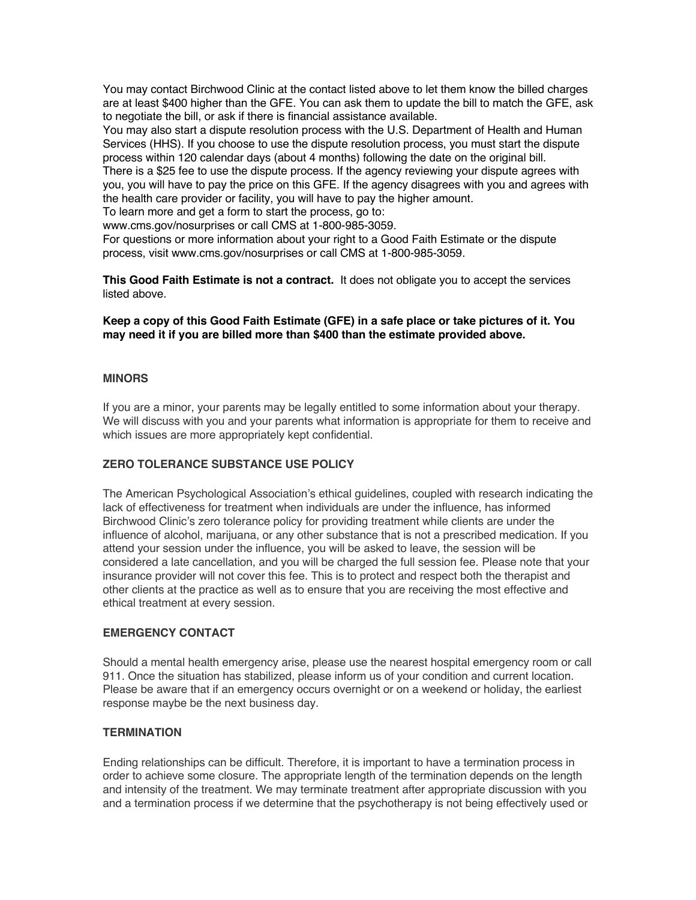You may contact Birchwood Clinic at the contact listed above to let them know the billed charges are at least \$400 higher than the GFE. You can ask them to update the bill to match the GFE, ask to negotiate the bill, or ask if there is financial assistance available.

You may also start a dispute resolution process with the U.S. Department of Health and Human Services (HHS). If you choose to use the dispute resolution process, you must start the dispute process within 120 calendar days (about 4 months) following the date on the original bill.

There is a \$25 fee to use the dispute process. If the agency reviewing your dispute agrees with you, you will have to pay the price on this GFE. If the agency disagrees with you and agrees with the health care provider or facility, you will have to pay the higher amount.

To learn more and get a form to start the process, go to:

www.cms.gov/nosurprises or call CMS at 1-800-985-3059.

For questions or more information about your right to a Good Faith Estimate or the dispute process, visit www.cms.gov/nosurprises or call CMS at 1-800-985-3059.

**This Good Faith Estimate is not a contract.** It does not obligate you to accept the services listed above.

**Keep a copy of this Good Faith Estimate (GFE) in a safe place or take pictures of it. You may need it if you are billed more than \$400 than the estimate provided above.**

## **MINORS**

If you are a minor, your parents may be legally entitled to some information about your therapy. We will discuss with you and your parents what information is appropriate for them to receive and which issues are more appropriately kept confidential.

# **ZERO TOLERANCE SUBSTANCE USE POLICY**

The American Psychological Association's ethical guidelines, coupled with research indicating the lack of effectiveness for treatment when individuals are under the influence, has informed Birchwood Clinic's zero tolerance policy for providing treatment while clients are under the influence of alcohol, marijuana, or any other substance that is not a prescribed medication. If you attend your session under the influence, you will be asked to leave, the session will be considered a late cancellation, and you will be charged the full session fee. Please note that your insurance provider will not cover this fee. This is to protect and respect both the therapist and other clients at the practice as well as to ensure that you are receiving the most effective and ethical treatment at every session.

#### **EMERGENCY CONTACT**

Should a mental health emergency arise, please use the nearest hospital emergency room or call 911. Once the situation has stabilized, please inform us of your condition and current location. Please be aware that if an emergency occurs overnight or on a weekend or holiday, the earliest response maybe be the next business day.

#### **TERMINATION**

Ending relationships can be difficult. Therefore, it is important to have a termination process in order to achieve some closure. The appropriate length of the termination depends on the length and intensity of the treatment. We may terminate treatment after appropriate discussion with you and a termination process if we determine that the psychotherapy is not being effectively used or